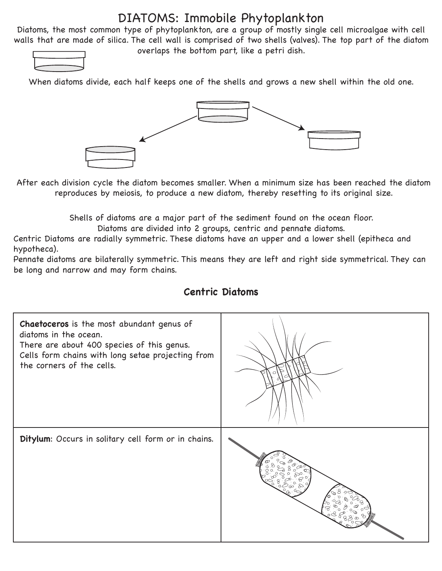#### DIATOMS: Immobile Phytoplankton

Diatoms, the most common type of phytoplankton, are a group of mostly single cell microalgae with cell walls that are made of silica. The cell wall is comprised of two shells (valves). The top part of the diatom overlaps the bottom part, like a petri dish.

When diatoms divide, each half keeps one of the shells and grows a new shell within the old one.



After each division cycle the diatom becomes smaller. When a minimum size has been reached the diatom reproduces by meiosis, to produce a new diatom, thereby resetting to its original size.

Shells of diatoms are a major part of the sediment found on the ocean floor.

Diatoms are divided into 2 groups, centric and pennate diatoms.

Centric Diatoms are radially symmetric. These diatoms have an upper and a lower shell (epitheca and hypotheca).

Pennate diatoms are bilaterally symmetric. This means they are left and right side symmetrical. They can be long and narrow and may form chains.



#### **Centric Diatoms**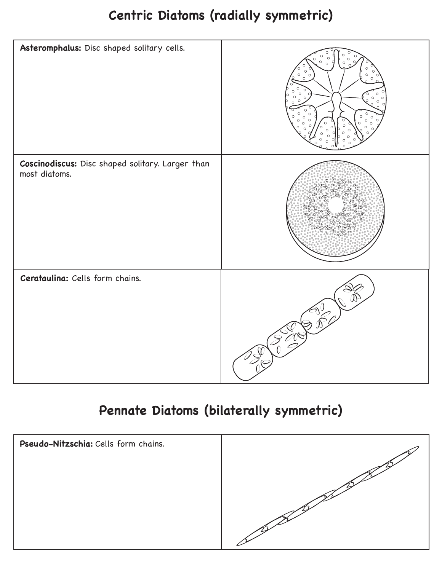## **Centric Diatoms (radially symmetric)**



# **Pennate Diatoms (bilaterally symmetric)**

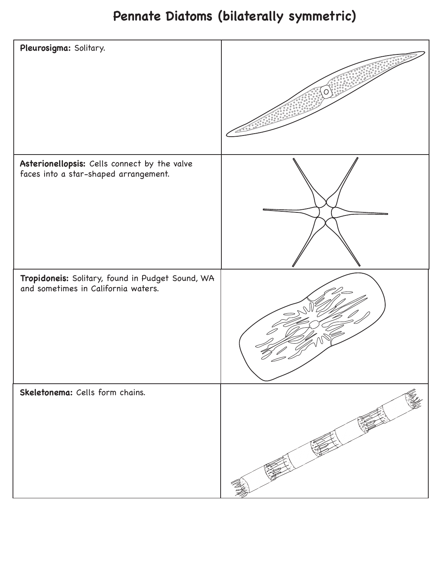## **Pennate Diatoms (bilaterally symmetric)**

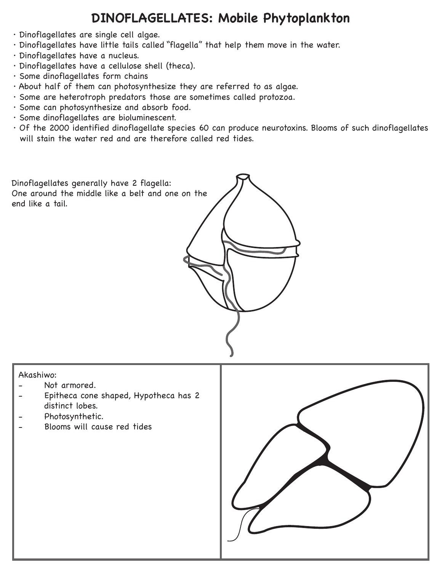### **DINOFLAGELLATES: Mobile Phytoplankton**

- · Dinoflagellates are single cell algae.
- · Dinoflagellates have little tails called "flagella" that help them move in the water.
- · Dinoflagellates have a nucleus.
- · Dinoflagellates have a cellulose shell (theca).
- · Some dinoflagellates form chains
- · About half of them can photosynthesize they are referred to as algae.
- · Some are heterotroph predators those are sometimes called protozoa.
- · Some can photosynthesize and absorb food.
- · Some dinoflagellates are bioluminescent.
- · Of the 2000 identified dinoflagellate species 60 can produce neurotoxins. Blooms of such dinoflagellates will stain the water red and are therefore called red tides.

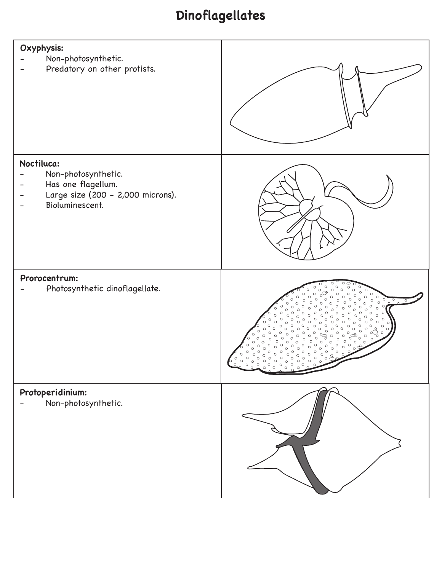# **Dinoflagellates**